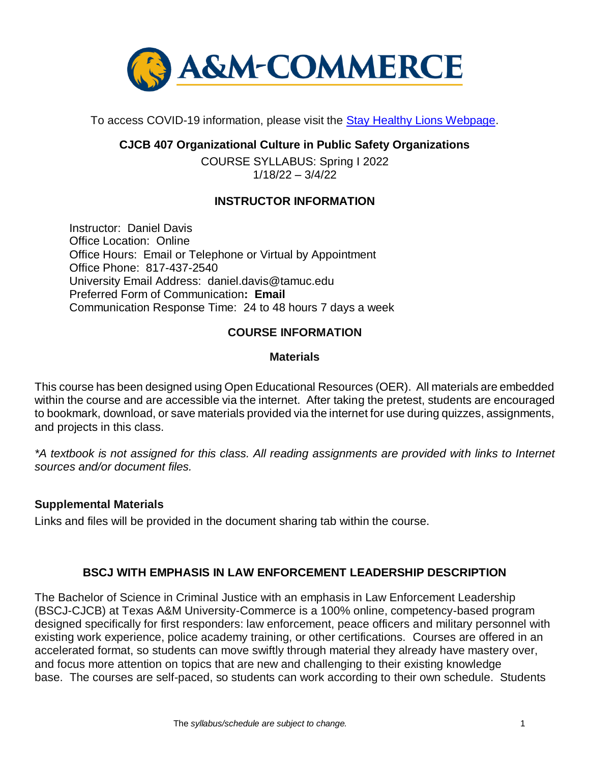

To access COVID-19 information, please visit the **Stay Healthy Lions Webpage**.

**CJCB 407 Organizational Culture in Public Safety Organizations**

COURSE SYLLABUS: Spring I 2022 1/18/22 – 3/4/22

### **INSTRUCTOR INFORMATION**

Instructor: Daniel Davis Office Location: Online Office Hours: Email or Telephone or Virtual by Appointment Office Phone: 817-437-2540 University Email Address: daniel.davis@tamuc.edu Preferred Form of Communication**: Email** Communication Response Time: 24 to 48 hours 7 days a week

# **COURSE INFORMATION**

### **Materials**

This course has been designed using Open Educational Resources (OER). All materials are embedded within the course and are accessible via the internet. After taking the pretest, students are encouraged to bookmark, download, or save materials provided via the internet for use during quizzes, assignments, and projects in this class.

*\*A textbook is not assigned for this class. All reading assignments are provided with links to Internet sources and/or document files.*

### **Supplemental Materials**

Links and files will be provided in the document sharing tab within the course.

### **BSCJ WITH EMPHASIS IN LAW ENFORCEMENT LEADERSHIP DESCRIPTION**

The Bachelor of Science in Criminal Justice with an emphasis in Law Enforcement Leadership (BSCJ-CJCB) at Texas A&M University-Commerce is a 100% online, competency-based program designed specifically for first responders: law enforcement, peace officers and military personnel with existing work experience, police academy training, or other certifications. Courses are offered in an accelerated format, so students can move swiftly through material they already have mastery over, and focus more attention on topics that are new and challenging to their existing knowledge base. The courses are self-paced, so students can work according to their own schedule. Students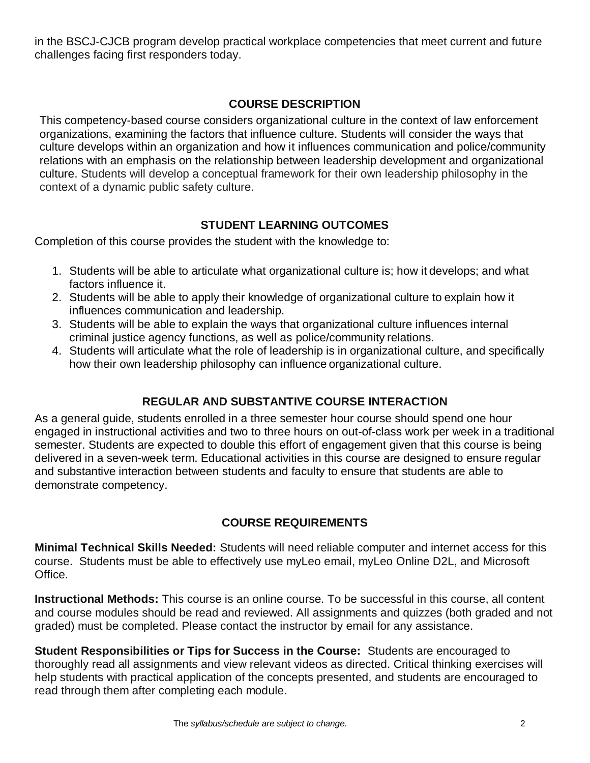in the BSCJ-CJCB program develop practical workplace competencies that meet current and future challenges facing first responders today.

# **[COURSE DESCRIPTION](http://catalog.tamuc.edu/undergrad/colleges-and-departments/college-of-innovation-design/baas-organizational-leadership/?_ga=2.81546143.928332977.1616426723-584154711.1595512675)**

This competency-based course considers organizational culture in the context of law enforcement organizations, examining the factors that influence culture. Students will consider the ways that culture develops within an organization and how it influences communication and police/community relations with an emphasis on the relationship between leadership development and organizational culture. Students will develop a conceptual framework for their own leadership philosophy in the context of a dynamic public safety culture.

# **STUDENT LEARNING OUTCOMES**

Completion of this course provides the student with the knowledge to:

- 1. Students will be able to articulate what organizational culture is; how it develops; and what factors influence it.
- 2. Students will be able to apply their knowledge of organizational culture to explain how it influences communication and leadership.
- 3. Students will be able to explain the ways that organizational culture influences internal criminal justice agency functions, as well as police/community relations.
- 4. Students will articulate what the role of leadership is in organizational culture, and specifically how their own leadership philosophy can influence organizational culture.

# **REGULAR AND SUBSTANTIVE COURSE INTERACTION**

As a general guide, students enrolled in a three semester hour course should spend one hour engaged in instructional activities and two to three hours on out-of-class work per week in a traditional semester. Students are expected to double this effort of engagement given that this course is being delivered in a seven-week term. Educational activities in this course are designed to ensure regular and substantive interaction between students and faculty to ensure that students are able to demonstrate competency.

### **COURSE REQUIREMENTS**

**Minimal Technical Skills Needed:** Students will need reliable computer and internet access for this course. Students must be able to effectively use myLeo email, myLeo Online D2L, and Microsoft Office.

**Instructional Methods:** This course is an online course. To be successful in this course, all content and course modules should be read and reviewed. All assignments and quizzes (both graded and not graded) must be completed. Please contact the instructor by email for any assistance.

**Student Responsibilities or Tips for Success in the Course:** Students are encouraged to thoroughly read all assignments and view relevant videos as directed. Critical thinking exercises will help students with practical application of the concepts presented, and students are encouraged to read through them after completing each module.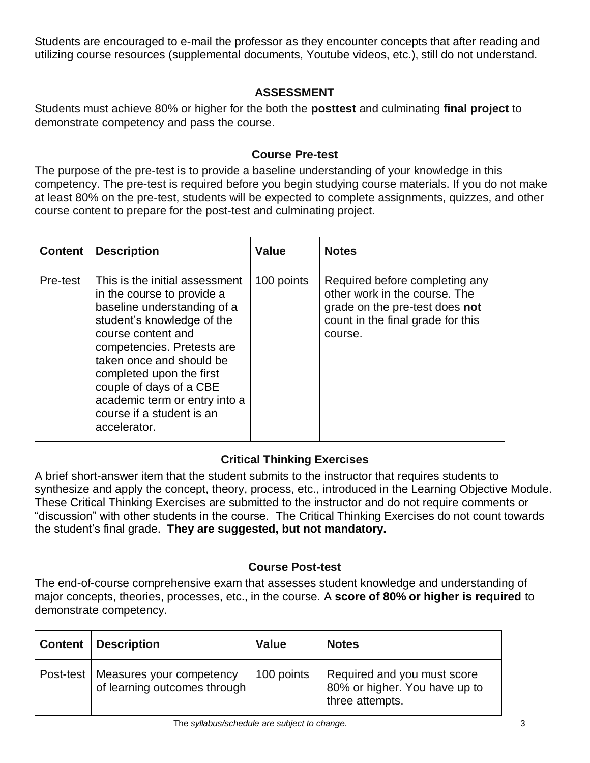Students are encouraged to e-mail the professor as they encounter concepts that after reading and utilizing course resources (supplemental documents, Youtube videos, etc.), still do not understand.

# **ASSESSMENT**

Students must achieve 80% or higher for the both the **posttest** and culminating **final project** to demonstrate competency and pass the course.

### **Course Pre-test**

The purpose of the pre-test is to provide a baseline understanding of your knowledge in this competency. The pre-test is required before you begin studying course materials. If you do not make at least 80% on the pre-test, students will be expected to complete assignments, quizzes, and other course content to prepare for the post-test and culminating project.

| <b>Content</b> | <b>Description</b>                                                                                                                                                                                                                                                                                                                             | <b>Value</b> | <b>Notes</b>                                                                                                                                      |
|----------------|------------------------------------------------------------------------------------------------------------------------------------------------------------------------------------------------------------------------------------------------------------------------------------------------------------------------------------------------|--------------|---------------------------------------------------------------------------------------------------------------------------------------------------|
| Pre-test       | This is the initial assessment<br>in the course to provide a<br>baseline understanding of a<br>student's knowledge of the<br>course content and<br>competencies. Pretests are<br>taken once and should be<br>completed upon the first<br>couple of days of a CBE<br>academic term or entry into a<br>course if a student is an<br>accelerator. | 100 points   | Required before completing any<br>other work in the course. The<br>grade on the pre-test does not<br>count in the final grade for this<br>course. |

# **Critical Thinking Exercises**

A brief short-answer item that the student submits to the instructor that requires students to synthesize and apply the concept, theory, process, etc., introduced in the Learning Objective Module. These Critical Thinking Exercises are submitted to the instructor and do not require comments or "discussion" with other students in the course. The Critical Thinking Exercises do not count towards the student's final grade. **They are suggested, but not mandatory.**

### **Course Post-test**

The end-of-course comprehensive exam that assesses student knowledge and understanding of major concepts, theories, processes, etc., in the course. A **score of 80% or higher is required** to demonstrate competency.

| <b>Content</b> | <b>Description</b>                                       | <b>Value</b> | <b>Notes</b>                                                                    |
|----------------|----------------------------------------------------------|--------------|---------------------------------------------------------------------------------|
| Post-test      | Measures your competency<br>of learning outcomes through | 100 points   | Required and you must score<br>80% or higher. You have up to<br>three attempts. |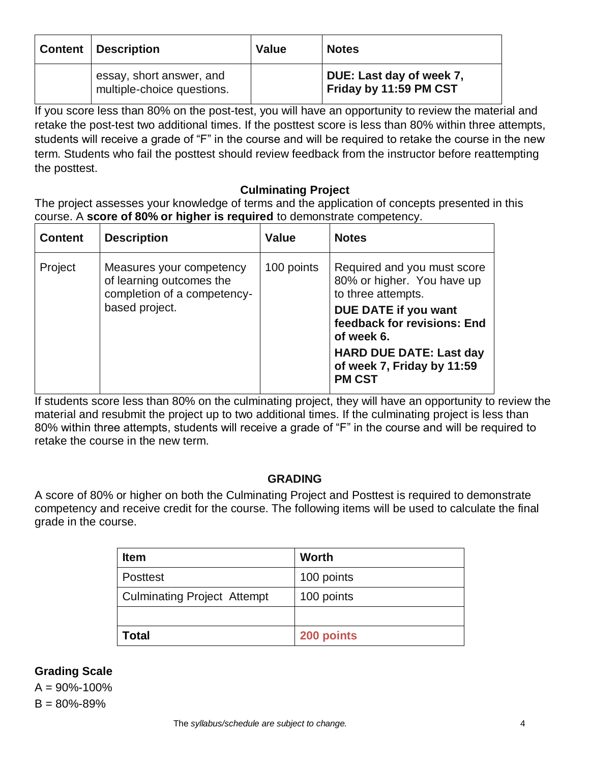| <b>Content   Description</b>                           | <b>Value</b> | <b>Notes</b>                                       |
|--------------------------------------------------------|--------------|----------------------------------------------------|
| essay, short answer, and<br>multiple-choice questions. |              | DUE: Last day of week 7,<br>Friday by 11:59 PM CST |

If you score less than 80% on the post-test, you will have an opportunity to review the material and retake the post-test two additional times. If the posttest score is less than 80% within three attempts, students will receive a grade of "F" in the course and will be required to retake the course in the new term. Students who fail the posttest should review feedback from the instructor before reattempting the posttest.

### **Culminating Project**

The project assesses your knowledge of terms and the application of concepts presented in this course. A **score of 80% or higher is required** to demonstrate competency.

| <b>Content</b> | <b>Description</b>                                                                                    | <b>Value</b> | <b>Notes</b>                                                                                                                                                                                                                          |
|----------------|-------------------------------------------------------------------------------------------------------|--------------|---------------------------------------------------------------------------------------------------------------------------------------------------------------------------------------------------------------------------------------|
| Project        | Measures your competency<br>of learning outcomes the<br>completion of a competency-<br>based project. | 100 points   | Required and you must score<br>80% or higher. You have up<br>to three attempts.<br>DUE DATE if you want<br>feedback for revisions: End<br>of week 6.<br><b>HARD DUE DATE: Last day</b><br>of week 7, Friday by 11:59<br><b>PM CST</b> |

If students score less than 80% on the culminating project, they will have an opportunity to review the material and resubmit the project up to two additional times. If the culminating project is less than 80% within three attempts, students will receive a grade of "F" in the course and will be required to retake the course in the new term.

### **GRADING**

A score of 80% or higher on both the Culminating Project and Posttest is required to demonstrate competency and receive credit for the course. The following items will be used to calculate the final grade in the course.

| <b>Item</b>                        | <b>Worth</b> |
|------------------------------------|--------------|
| Posttest                           | 100 points   |
| <b>Culminating Project Attempt</b> | 100 points   |
|                                    |              |
| <b>Total</b>                       | 200 points   |

### **Grading Scale**

 $A = 90\% - 100\%$  $B = 80\% - 89\%$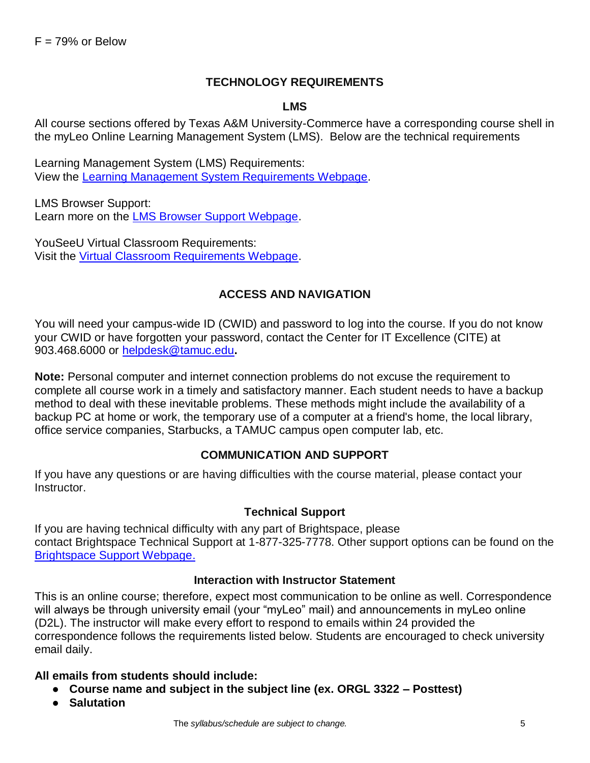### **TECHNOLOGY REQUIREMENTS**

#### **LMS**

All course sections offered by Texas A&M University-Commerce have a corresponding course shell in the myLeo Online Learning Management System (LMS). Below are the technical requirements

Learning Management System (LMS) Requirements: View the [Learning Management System Requirements Webpage.](https://community.brightspace.com/s/article/Brightspace-Platform-Requirements)

LMS Browser Support: Learn more on the **LMS Browser Support Webpage**.

YouSeeU Virtual Classroom Requirements: Visit the [Virtual Classroom Requirements Webpage.](https://support.youseeu.com/hc/en-us/articles/115007031107-Basic-System-Requirements)

### **ACCESS AND NAVIGATION**

You will need your campus-wide ID (CWID) and password to log into the course. If you do not know your CWID or have forgotten your password, contact the Center for IT Excellence (CITE) at 903.468.6000 or [helpdesk@tamuc.edu](mailto:helpdesk@tamuc.edu)**.**

**Note:** Personal computer and internet connection problems do not excuse the requirement to complete all course work in a timely and satisfactory manner. Each student needs to have a backup method to deal with these inevitable problems. These methods might include the availability of a backup PC at home or work, the temporary use of a computer at a friend's home, the local library, office service companies, Starbucks, a TAMUC campus open computer lab, etc.

#### **COMMUNICATION AND SUPPORT**

If you have any questions or are having difficulties with the course material, please contact your Instructor.

#### **Technical Support**

If you are having technical difficulty with any part of Brightspace, please contact Brightspace Technical Support at 1-877-325-7778. Other support options can be found on the [Brightspace Support Webpage.](https://community.brightspace.com/support/s/contactsupport)

#### **Interaction with Instructor Statement**

This is an online course; therefore, expect most communication to be online as well. Correspondence will always be through university email (your "myLeo" mail) and announcements in myLeo online (D2L). The instructor will make every effort to respond to emails within 24 provided the correspondence follows the requirements listed below. Students are encouraged to check university email daily.

#### **All emails from students should include:**

- **Course name and subject in the subject line (ex. ORGL 3322 – Posttest)**
- **Salutation**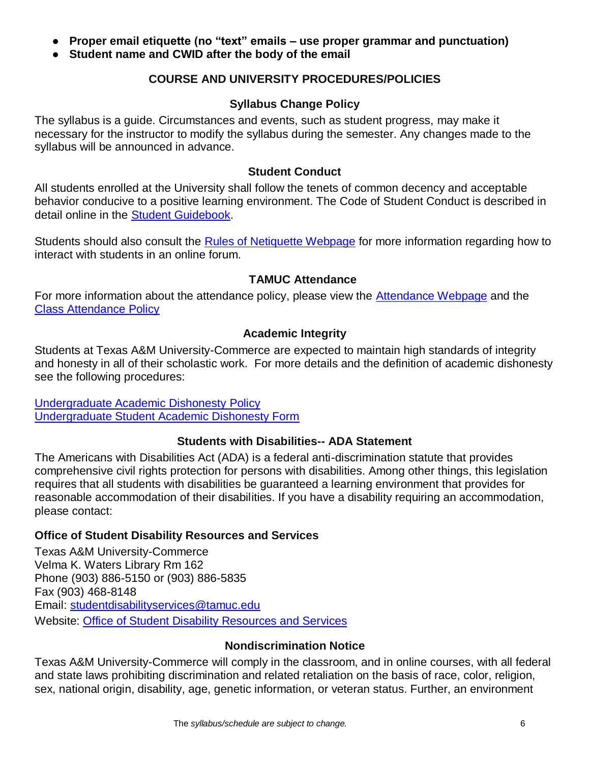- **Proper email etiquette (no "text" emails – use proper grammar and punctuation)**
- **Student name and CWID after the body of the email**

### **COURSE AND UNIVERSITY PROCEDURES/POLICIES**

#### **Syllabus Change Policy**

The syllabus is a guide. Circumstances and events, such as student progress, may make it necessary for the instructor to modify the syllabus during the semester. Any changes made to the syllabus will be announced in advance.

#### **Student Conduct**

All students enrolled at the University shall follow the tenets of common decency and acceptable behavior conducive to a positive learning environment. The Code of Student Conduct is described in detail online in the [Student Guidebook.](http://www.tamuc.edu/Admissions/oneStopShop/undergraduateAdmissions/studentGuidebook.aspx)

Students should also consult the [Rules of Netiquette Webpage](https://www.britannica.com/topic/netiquette) for more information regarding how to interact with students in an online forum.

#### **TAMUC Attendance**

For more information about the attendance policy, please view the **Attendance Webpage** and the [Class Attendance Policy](http://www.tamuc.edu/aboutUs/policiesProceduresStandardsStatements/rulesProcedures/13students/academic/13.99.99.R0.01.pdf)

#### **Academic Integrity**

Students at Texas A&M University-Commerce are expected to maintain high standards of integrity and honesty in all of their scholastic work. For more details and the definition of academic dishonesty see the following procedures:

[Undergraduate Academic Dishonesty P](http://www.tamuc.edu/aboutUs/policiesProceduresStandardsStatements/rulesProcedures/13students/undergraduates/13.99.99.R0.03UndergraduateAcademicDishonesty.pdf)olicy [Undergraduate Student Academic Dishonesty Form](http://www.tamuc.edu/aboutUs/policiesProceduresStandardsStatements/rulesProcedures/documents/13.99.99.R0.03UndergraduateStudentAcademicDishonestyForm.pdf)

#### **Students with Disabilities-- ADA Statement**

The Americans with Disabilities Act (ADA) is a federal anti-discrimination statute that provides comprehensive civil rights protection for persons with disabilities. Among other things, this legislation requires that all students with disabilities be guaranteed a learning environment that provides for reasonable accommodation of their disabilities. If you have a disability requiring an accommodation, please contact:

#### **Office of Student Disability Resources and Services**

Texas A&M University-Commerce Velma K. Waters Library Rm 162 Phone (903) 886-5150 or (903) 886-5835 Fax (903) 468-8148 Email: [studentdisabilityservices@tamuc.edu](mailto:studentdisabilityservices@tamuc.edu) Website: [Office of Student Disability Resources and Services](http://www.tamuc.edu/campusLife/campusServices/studentDisabilityResourcesAndServices/)

#### **Nondiscrimination Notice**

Texas A&M University-Commerce will comply in the classroom, and in online courses, with all federal and state laws prohibiting discrimination and related retaliation on the basis of race, color, religion, sex, national origin, disability, age, genetic information, or veteran status. Further, an environment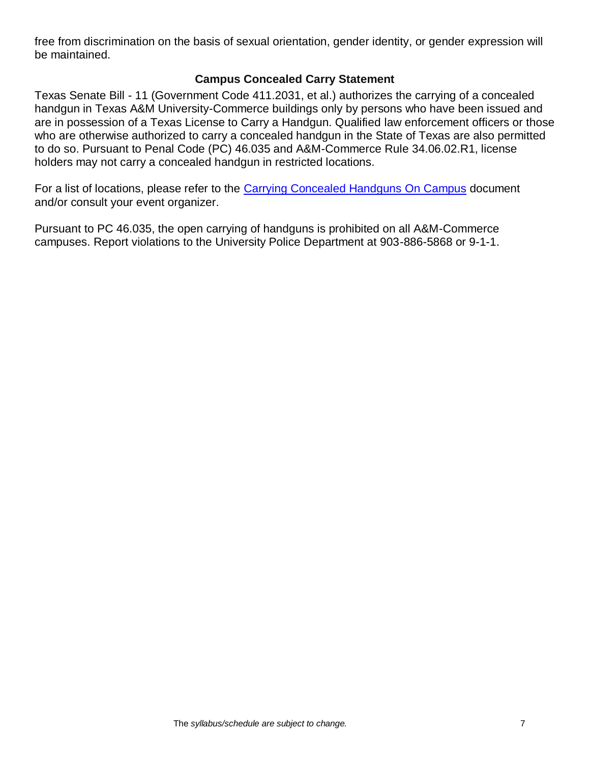free from discrimination on the basis of sexual orientation, gender identity, or gender expression will be maintained.

### **Campus Concealed Carry Statement**

Texas Senate Bill - 11 (Government Code 411.2031, et al.) authorizes the carrying of a concealed handgun in Texas A&M University-Commerce buildings only by persons who have been issued and are in possession of a Texas License to Carry a Handgun. Qualified law enforcement officers or those who are otherwise authorized to carry a concealed handgun in the State of Texas are also permitted to do so. Pursuant to Penal Code (PC) 46.035 and A&M-Commerce Rule 34.06.02.R1, license holders may not carry a concealed handgun in restricted locations.

For a list of locations, please refer to the [Carrying Concealed Handguns On Campus](http://www.tamuc.edu/aboutUs/policiesProceduresStandardsStatements/rulesProcedures/34SafetyOfEmployeesAndStudents/34.06.02.R1.pdf) document and/or consult your event organizer.

Pursuant to PC 46.035, the open carrying of handguns is prohibited on all A&M-Commerce campuses. Report violations to the University Police Department at 903-886-5868 or 9-1-1.